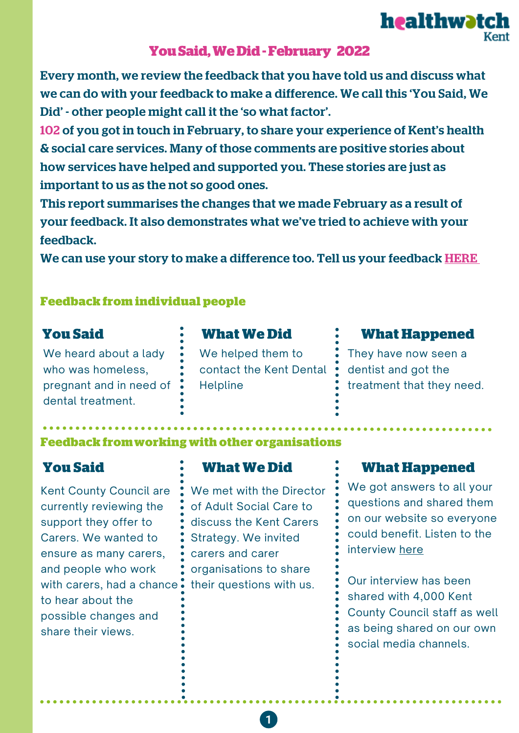

Every month, we review the feedback that you have told us and discuss what we can do with your feedback to make a difference. We call this 'You Said, We Did' - other people might call it the 'so what factor'.

102 of you got in touch in February, to share your experience of Kent's health & social care services. Many of those comments are positive stories about how services have helped and supported you. These stories are just as important to us as the not so good ones.

This report summarises the changes that we made February as a result of your feedback. It also demonstrates what we've tried to achieve with your feedback.

We can use your story to make a difference too. Tell us your feedback [HERE](https://www.healthwatchkent.co.uk/have-your-say)

### **Feedback from individual people**

We heard about a lady who was homeless, pregnant and in need of dental treatment.

**You Said What We Did**

We helped them to contact the Kent Dental **Helpline** 

### **What Happened**

healthwatch

They have now seen a dentist and got the treatment that they need.

### **Feedback fromworking with other organisations**

Kent County Council are currently reviewing the support they offer to Carers. We wanted to ensure as many carers, and people who work with carers, had a chance  $\ddot{\bullet}$ to hear about the possible changes and share their views.

We met with the Director of Adult Social Care to discuss the Kent Carers Strategy. We invited carers and carer organisations to share their questions with us.

## **You Said What We Did What Happened**

We got answers to all your questions and shared them on our website so everyone could benefit. Listen to the interview [here](https://www.healthwatchkent.co.uk/news/2022-02-08/we-chat-director-adult-social-care-about-carers)

Our interview has been shared with 4,000 Kent County Council staff as well as being shared on our own social media channels.

 $\mathbf{1}$